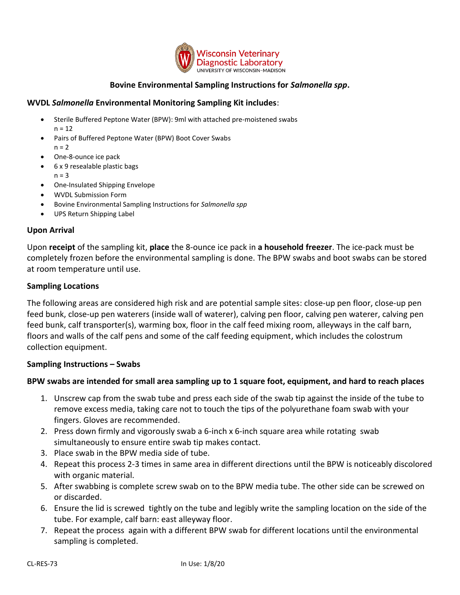

## **Bovine Environmental Sampling Instructions for** *Salmonella spp***.**

#### **WVDL** *Salmonella* **Environmental Monitoring Sampling Kit includes**:

- Sterile Buffered Peptone Water (BPW): 9ml with attached pre-moistened swabs  $n = 12$
- Pairs of Buffered Peptone Water (BPW) Boot Cover Swabs  $n = 2$
- One-8-ounce ice pack
- 6 x 9 resealable plastic bags
	- $n = 3$
- One-Insulated Shipping Envelope
- WVDL Submission Form
- Bovine Environmental Sampling Instructions for *Salmonella spp*
- UPS Return Shipping Label

#### **Upon Arrival**

Upon **receipt** of the sampling kit, **place** the 8-ounce ice pack in **a household freezer**. The ice-pack must be completely frozen before the environmental sampling is done. The BPW swabs and boot swabs can be stored at room temperature until use.

#### **Sampling Locations**

The following areas are considered high risk and are potential sample sites: close-up pen floor, close-up pen feed bunk, close-up pen waterers (inside wall of waterer), calving pen floor, calving pen waterer, calving pen feed bunk, calf transporter(s), warming box, floor in the calf feed mixing room, alleyways in the calf barn, floors and walls of the calf pens and some of the calf feeding equipment, which includes the colostrum collection equipment.

### **Sampling Instructions – Swabs**

### **BPW swabs are intended for small area sampling up to 1 square foot, equipment, and hard to reach places**

- 1. Unscrew cap from the swab tube and press each side of the swab tip against the inside of the tube to remove excess media, taking care not to touch the tips of the polyurethane foam swab with your fingers. Gloves are recommended.
- 2. Press down firmly and vigorously swab a 6-inch x 6-inch square area while rotating swab simultaneously to ensure entire swab tip makes contact.
- 3. Place swab in the BPW media side of tube.
- 4. Repeat this process 2-3 times in same area in different directions until the BPW is noticeably discolored with organic material.
- 5. After swabbing is complete screw swab on to the BPW media tube. The other side can be screwed on or discarded.
- 6. Ensure the lid is screwed tightly on the tube and legibly write the sampling location on the side of the tube. For example, calf barn: east alleyway floor.
- 7. Repeat the process again with a different BPW swab for different locations until the environmental sampling is completed.